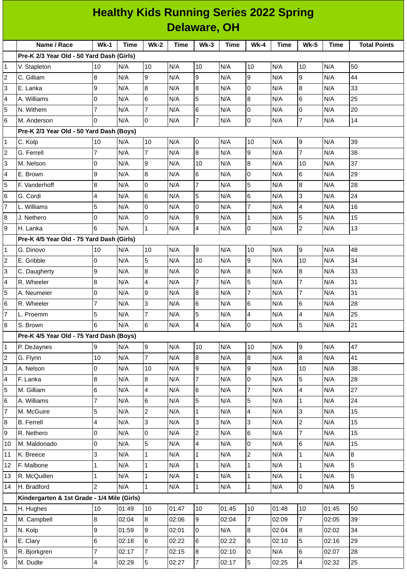|                         |                                             |                          |             |                |                     |                |             |                | <b>Healthy Kids Running Series 2022 Spring</b> |                |             |                     |
|-------------------------|---------------------------------------------|--------------------------|-------------|----------------|---------------------|----------------|-------------|----------------|------------------------------------------------|----------------|-------------|---------------------|
|                         |                                             |                          |             |                | <b>Delaware, OH</b> |                |             |                |                                                |                |             |                     |
|                         | Name / Race                                 | $Wk-1$                   | <b>Time</b> | <b>Wk-2</b>    | <b>Time</b>         | $Wk-3$         | <b>Time</b> | $Wk-4$         | <b>Time</b>                                    | <b>Wk-5</b>    | <b>Time</b> | <b>Total Points</b> |
|                         | Pre-K 2/3 Year Old - 50 Yard Dash (Girls)   |                          |             |                |                     |                |             |                |                                                |                |             |                     |
| 1                       | V. Stapleton                                | 10                       | N/A         | 10             | N/A                 | 10             | N/A         | 10             | N/A                                            | 10             | N/A         | 50                  |
| $\overline{c}$          | C. Gilliam                                  | $\bf{8}$                 | N/A         | l9             | N/A                 | 9              | N/A         | 9              | N/A                                            | 9              | N/A         | 44                  |
| 3                       | E. Lanka                                    | 9                        | N/A         | 8              | N/A                 | 8              | N/A         | 0              | N/A                                            | 8              | N/A         | 33                  |
| 4                       | A. Williams                                 | 0                        | N/A         | 6              | N/A                 | 5              | N/A         | $\, 8$         | N/A                                            | 6              | N/A         | 25                  |
| 5                       | N. Withem                                   | $\overline{7}$           | N/A         | $\overline{7}$ | N/A                 | 6              | N/A         | $\mathsf 0$    | N/A                                            | 0              | N/A         | 20                  |
| 6                       | M. Anderson                                 | 0                        | N/A         | Iо             | N/A                 | $\overline{7}$ | N/A         | 0              | N/A                                            | 7              | N/A         | 14                  |
|                         | Pre-K 2/3 Year Old - 50 Yard Dash (Boys)    |                          |             |                |                     |                |             |                |                                                |                |             |                     |
| 1                       | C. Kolp                                     | 10                       | N/A         | 10             | N/A                 | 0              | N/A         | 10             | N/A                                            | 9              | N/A         | 39                  |
| $\overline{c}$          | G. Ferrell                                  | 7                        | N/A         | $\overline{7}$ | N/A                 | 8              | N/A         | 9              | N/A                                            | $\overline{7}$ | N/A         | 38                  |
| 3                       | M. Nelson                                   | 0                        | N/A         | 9              | N/A                 | 10             | N/A         | 8              | N/A                                            | 10             | N/A         | 37                  |
| 4                       | E. Brown                                    | 9                        | N/A         | 8              | N/A                 | 6              | N/A         | $\overline{0}$ | N/A                                            | 6              | N/A         | 29                  |
| 5                       | F. Vanderhoff                               | 8                        | N/A         | 0              | N/A                 | $\overline{7}$ | N/A         | 5              | N/A                                            | 8              | N/A         | 28                  |
| 6                       | G. Cordi                                    | 4                        | N/A         | 6              | N/A                 | 5              | N/A         | $\,$ 6         | N/A                                            | 3              | N/A         | 24                  |
| $\overline{7}$          | L. Williams                                 | 5                        | N/A         | l0             | N/A                 | 0              | N/A         | 7              | N/A                                            | $\overline{4}$ | N/A         | 16                  |
| 8                       | J. Nethero                                  | 0                        | N/A         | 0              | N/A                 | 9              | N/A         | 1              | N/A                                            | 5              | N/A         | 15                  |
| 9                       | H. Lanka                                    | 6                        | N/A         | $\overline{1}$ | N/A                 | 4              | N/A         | 0              | N/A                                            | $\overline{c}$ | N/A         | 13                  |
|                         | Pre-K 4/5 Year Old - 75 Yard Dash (Girls)   |                          |             |                |                     |                |             |                |                                                |                |             |                     |
| $\mathbf{1}$            | G. Dinovo                                   | 10                       | N/A         | 10             | N/A                 | 9              | N/A         | 10             | N/A                                            | 9              | N/A         | 48                  |
| $\overline{c}$          | E. Gribble                                  | 0                        | N/A         | 5              | N/A                 | 10             | N/A         | 9              | N/A                                            | 10             | N/A         | 34                  |
| 3                       | C. Daugherty                                | 9                        | N/A         | 8              | N/A                 | 0              | N/A         | $\, 8$         | N/A                                            | 8              | N/A         | 33                  |
| 4                       | R. Wheeler                                  | $\bf{8}$                 | N/A         | $\overline{4}$ | N/A                 | $\overline{7}$ | N/A         | 5              | N/A                                            | $\overline{7}$ | N/A         | 31                  |
| 5                       | A. Neumeier                                 | 0                        | N/A         | 9              | N/A                 | 8              | N/A         | $\overline{7}$ | N/A                                            | 7              | N/A         | 31                  |
| 6                       | R. Wheeler                                  | 7                        | N/A         | IЗ             | N/A                 | 6              | N/A         | 6              | N/A                                            | 6              | N/A         | 28                  |
| 7                       | L. Proemm                                   | 5                        | N/A         | 17             | N/A                 | 5              | N/A         | $\overline{4}$ | N/A                                            | $\overline{4}$ | N/A         | 25                  |
| 8                       | S. Brown                                    | 6                        | N/A         | 6              | N/A                 | 4              | N/A         | $\mathsf{O}$   | N/A                                            | 5              | N/A         | 21                  |
|                         | Pre-K 4/5 Year Old - 75 Yard Dash (Boys)    |                          |             |                |                     |                |             |                |                                                |                |             |                     |
| 1                       | P. DeJaynes                                 | 9                        | N/A         | g              | N/A                 | 10             | N/A         | 10             | N/A                                            | 9              | N/A         | 47                  |
| $\overline{c}$          | G. Flynn                                    | 10                       | N/A         | $\overline{7}$ | N/A                 | 8              | N/A         | 8              | N/A                                            | 8              | N/A         | 41                  |
| 3                       | A. Nelson                                   | 0                        | N/A         | 10             | N/A                 | 9              | N/A         | 9              | N/A                                            | 10             | N/A         | 38                  |
| 4                       | F. Lanka                                    | $\, 8$                   | N/A         | 8              | N/A                 | $\overline{7}$ | N/A         | $\mathsf 0$    | N/A                                            | 5              | N/A         | 28                  |
| 5                       | M. Gilliam                                  | 6                        | N/A         | $\overline{4}$ | N/A                 | 6              | N/A         | $\overline{7}$ | N/A                                            | 4              | N/A         | 27                  |
| 6                       | A. Williams                                 | $\overline{7}$           | N/A         | 6              | N/A                 | 5              | N/A         | 5              | N/A                                            | $\mathbf{1}$   | N/A         | 24                  |
| $\overline{7}$          | M. McGuire                                  | 5                        | N/A         | $\overline{2}$ | N/A                 | $\mathbf{1}$   | N/A         | 4              | N/A                                            | 3              | N/A         | 15                  |
| 8                       | <b>B.</b> Ferrell                           | 4                        | N/A         | $\overline{3}$ | N/A                 | 3              | N/A         | 3              | N/A                                            | $\overline{c}$ | N/A         | 15                  |
| 9                       | R. Nethero                                  | 0                        | N/A         | Iо             | N/A                 | $\overline{c}$ | N/A         | $\,6$          | N/A                                            | $\overline{7}$ | N/A         | 15                  |
| 10                      | M. Maldonado                                | 0                        | N/A         | 5              | N/A                 | 4              | N/A         | $\mathsf 0$    | N/A                                            | 6              | N/A         | 15                  |
| 11                      | K. Breece                                   | 3                        | N/A         | $\mathbf{1}$   | N/A                 | $\mathbf{1}$   | N/A         | $\overline{c}$ | N/A                                            | $\mathbf{1}$   | N/A         | 8                   |
| 12                      | F. Malbone                                  | 1                        | N/A         | $\vert$ 1      | N/A                 | $\mathbf{1}$   | N/A         | $\mathbf{1}$   | N/A                                            | $\mathbf{1}$   | N/A         | 5                   |
| 13                      | R. McQuillen                                | 1                        | N/A         | $\mathbf{1}$   | N/A                 | $\mathbf{1}$   | N/A         | 1              | N/A                                            | 1              | N/A         | 5                   |
| 14                      | H. Bradford                                 | $\overline{c}$           | N/A         | $\vert$ 1      | N/A                 | $\mathbf{1}$   | N/A         | $\overline{1}$ | N/A                                            | 0              | N/A         | 5                   |
|                         | Kindergarten & 1st Grade - 1/4 Mile (Girls) |                          |             |                |                     |                |             |                |                                                |                |             |                     |
| $\mathbf{1}$            | H. Hughes                                   | 10                       | 01:49       | 10             | 01:47               | $10\,$         | 01:45       | 10             | 01:48                                          | 10             | 01:45       | 50                  |
| $\overline{\mathbf{c}}$ | M. Campbell                                 | 8                        | 02:04       | 8              | 02:06               | 9              | 02:04       | $\overline{7}$ | 02:09                                          | $\overline{7}$ | 02:05       | 39                  |
| 3                       | N. Kolp                                     | 9                        | 01:59       | 9              | 02:01               | 0              | N/A         | $8\,$          | 02:04                                          | $\bf{8}$       | 02:02       | 34                  |
| 4                       | E. Clary                                    | $\,6$                    | 02:18       | 6              | 02:22               | 6              | 02:22       | $\,6$          | 02:10                                          | 5              | 02:16       | 29                  |
| 5                       | R. Bjorkgren                                | 7                        | 02:17       | 7              | 02:15               | 8              | 02:10       | 0              | N/A                                            | 6              | 02:07       | 28                  |
| 6                       | M. Dudte                                    | $\overline{\mathcal{A}}$ | 02:29       | 5              | 02:27               | $\overline{7}$ | 02:17       | 5              | 02:25                                          | 4              | 02:32       | 25                  |